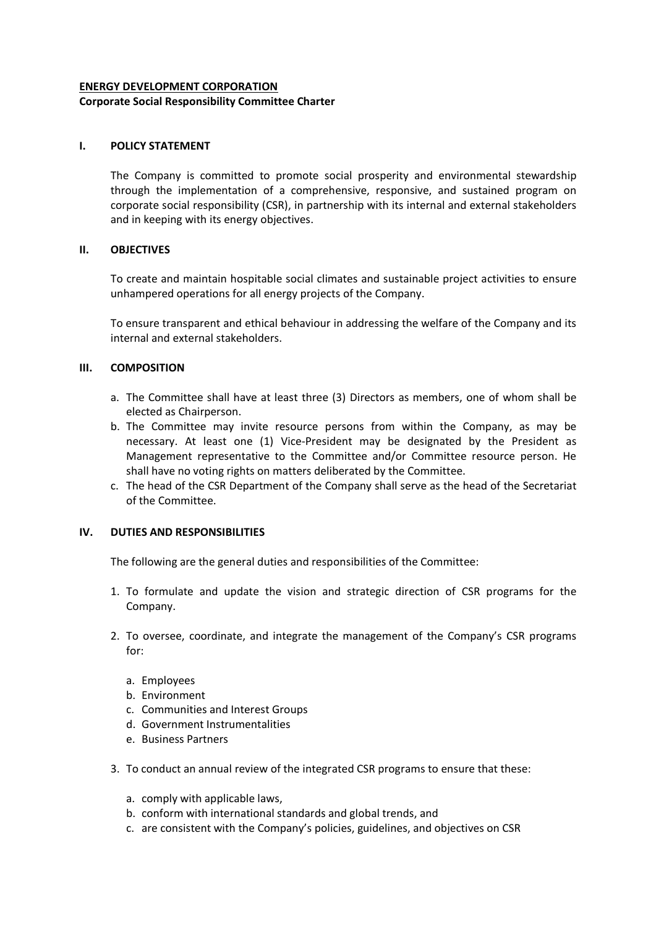# **ENERGY DEVELOPMENT CORPORATION**

### **Corporate Social Responsibility Committee Charter**

# **I. POLICY STATEMENT**

The Company is committed to promote social prosperity and environmental stewardship through the implementation of a comprehensive, responsive, and sustained program on corporate social responsibility (CSR), in partnership with its internal and external stakeholders and in keeping with its energy objectives.

# **II. OBJECTIVES**

To create and maintain hospitable social climates and sustainable project activities to ensure unhampered operations for all energy projects of the Company.

To ensure transparent and ethical behaviour in addressing the welfare of the Company and its internal and external stakeholders.

# **III. COMPOSITION**

- a. The Committee shall have at least three (3) Directors as members, one of whom shall be elected as Chairperson.
- b. The Committee may invite resource persons from within the Company, as may be necessary. At least one (1) Vice-President may be designated by the President as Management representative to the Committee and/or Committee resource person. He shall have no voting rights on matters deliberated by the Committee.
- c. The head of the CSR Department of the Company shall serve as the head of the Secretariat of the Committee.

# **IV. DUTIES AND RESPONSIBILITIES**

The following are the general duties and responsibilities of the Committee:

- 1. To formulate and update the vision and strategic direction of CSR programs for the Company.
- 2. To oversee, coordinate, and integrate the management of the Company's CSR programs for:
	- a. Employees
	- b. Environment
	- c. Communities and Interest Groups
	- d. Government Instrumentalities
	- e. Business Partners
- 3. To conduct an annual review of the integrated CSR programs to ensure that these:
	- a. comply with applicable laws,
	- b. conform with international standards and global trends, and
	- c. are consistent with the Company's policies, guidelines, and objectives on CSR